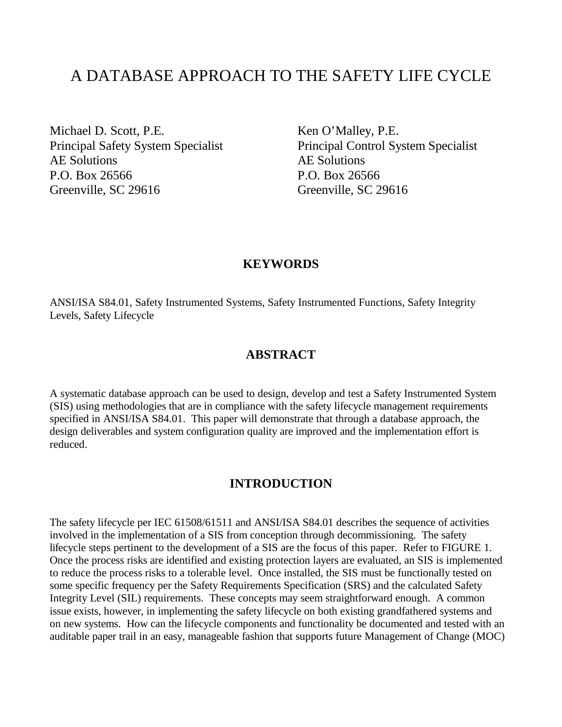# A DATABASE APPROACH TO THE SAFETY LIFE CYCLE

Michael D. Scott, P.E. Principal Safety System Specialist AE Solutions P.O. Box 26566 Greenville, SC 29616

Ken O'Malley, P.E. Principal Control System Specialist AE Solutions P.O. Box 26566 Greenville, SC 29616

#### **KEYWORDS**

ANSI/ISA S84.01, Safety Instrumented Systems, Safety Instrumented Functions, Safety Integrity Levels, Safety Lifecycle

#### **ABSTRACT**

A systematic database approach can be used to design, develop and test a Safety Instrumented System (SIS) using methodologies that are in compliance with the safety lifecycle management requirements specified in ANSI/ISA S84.01. This paper will demonstrate that through a database approach, the design deliverables and system configuration quality are improved and the implementation effort is reduced.

#### **INTRODUCTION**

The safety lifecycle per IEC 61508/61511 and ANSI/ISA S84.01 describes the sequence of activities involved in the implementation of a SIS from conception through decommissioning. The safety lifecycle steps pertinent to the development of a SIS are the focus of this paper. Refer to FIGURE 1. Once the process risks are identified and existing protection layers are evaluated, an SIS is implemented to reduce the process risks to a tolerable level. Once installed, the SIS must be functionally tested on some specific frequency per the Safety Requirements Specification (SRS) and the calculated Safety Integrity Level (SIL) requirements. These concepts may seem straightforward enough. A common issue exists, however, in implementing the safety lifecycle on both existing grandfathered systems and on new systems. How can the lifecycle components and functionality be documented and tested with an auditable paper trail in an easy, manageable fashion that supports future Management of Change (MOC)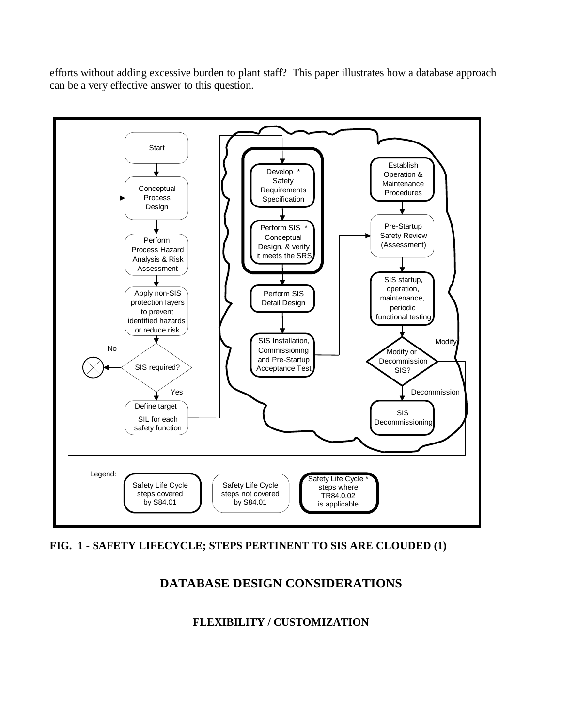efforts without adding excessive burden to plant staff? This paper illustrates how a database approach can be a very effective answer to this question.



**FIG. 1 - SAFETY LIFECYCLE; STEPS PERTINENT TO SIS ARE CLOUDED (1)**

# **DATABASE DESIGN CONSIDERATIONS**

### **FLEXIBILITY / CUSTOMIZATION**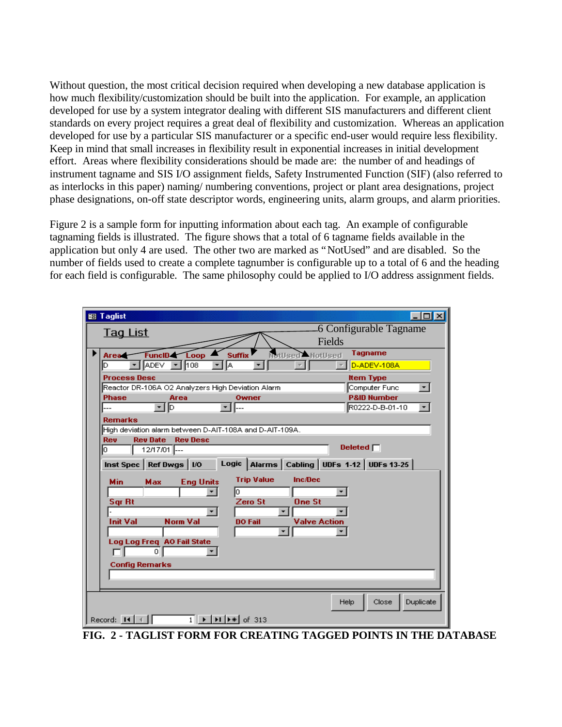Without question, the most critical decision required when developing a new database application is how much flexibility/customization should be built into the application. For example, an application developed for use by a system integrator dealing with different SIS manufacturers and different client standards on every project requires a great deal of flexibility and customization. Whereas an application developed for use by a particular SIS manufacturer or a specific end-user would require less flexibility. Keep in mind that small increases in flexibility result in exponential increases in initial development effort. Areas where flexibility considerations should be made are: the number of and headings of instrument tagname and SIS I/O assignment fields, Safety Instrumented Function (SIF) (also referred to as interlocks in this paper) naming/ numbering conventions, project or plant area designations, project phase designations, on-off state descriptor words, engineering units, alarm groups, and alarm priorities.

Figure 2 is a sample form for inputting information about each tag. An example of configurable tagnaming fields is illustrated. The figure shows that a total of 6 tagname fields available in the application but only 4 are used. The other two are marked as "NotUsed" and are disabled. So the number of fields used to create a complete tagnumber is configurable up to a total of 6 and the heading for each field is configurable. The same philosophy could be applied to I/O address assignment fields.

| $\Box$ olx<br><b>BB</b> Taglist                                                                                                    |  |  |  |  |  |  |  |
|------------------------------------------------------------------------------------------------------------------------------------|--|--|--|--|--|--|--|
| 6 Configurable Tagname<br><b>Tag List</b>                                                                                          |  |  |  |  |  |  |  |
| Fields                                                                                                                             |  |  |  |  |  |  |  |
| <b>Tagname</b><br><b>Suffix</b><br>NotUsed<br>FuncID &<br>Loop<br><b>MotUsed</b><br>Area                                           |  |  |  |  |  |  |  |
| <b>ADEV</b><br>≁HA<br>D-ADEV-108A<br>⊪108<br>$\overline{\phantom{a}}$<br>▾╽<br>D                                                   |  |  |  |  |  |  |  |
| <b>Process Desc</b><br><b>Item Type</b>                                                                                            |  |  |  |  |  |  |  |
| Computer Func<br>Reactor DR-106A O2 Analyzers High Deviation Alarm<br>▾╎                                                           |  |  |  |  |  |  |  |
| <b>P&amp;ID Number</b><br><b>Phase</b><br>Area<br>Owner<br>≁ Ho<br>R0222-D-B-01-10<br>▾                                            |  |  |  |  |  |  |  |
|                                                                                                                                    |  |  |  |  |  |  |  |
| <b>Remarks</b><br>High deviation alarm between D-AIT-108A and D-AIT-109A.                                                          |  |  |  |  |  |  |  |
| Rev<br><b>Rev Date</b><br><b>Rev Desc</b>                                                                                          |  |  |  |  |  |  |  |
| Deleted $\Box$<br>I٥<br>12/17/01 ---                                                                                               |  |  |  |  |  |  |  |
| Alarms   Cabling   UDFs 1-12   UDFs 13-25  <br>Logic<br>Inst Spec   Ref Dwgs   I/O                                                 |  |  |  |  |  |  |  |
|                                                                                                                                    |  |  |  |  |  |  |  |
| <b>Trip Value</b><br><b>Inc</b> /Dec<br><b>Min</b><br><b>Eng Units</b><br>Max                                                      |  |  |  |  |  |  |  |
| lо<br>×l                                                                                                                           |  |  |  |  |  |  |  |
| Sgr Rt<br>Zero St<br><b>One St</b><br>▾╽<br>▾∣                                                                                     |  |  |  |  |  |  |  |
| <b>Norm Val</b><br><b>Init Val</b><br><b>Valve Action</b><br><b>DO Fail</b>                                                        |  |  |  |  |  |  |  |
| ▾∣                                                                                                                                 |  |  |  |  |  |  |  |
| Log Log Freq AO Fail State                                                                                                         |  |  |  |  |  |  |  |
| $\Omega$                                                                                                                           |  |  |  |  |  |  |  |
| <b>Config Remarks</b>                                                                                                              |  |  |  |  |  |  |  |
|                                                                                                                                    |  |  |  |  |  |  |  |
|                                                                                                                                    |  |  |  |  |  |  |  |
| Duplicate<br>Close<br>Help                                                                                                         |  |  |  |  |  |  |  |
| $\overline{1}$ $\rightarrow$ $\overline{1}$ $\rightarrow$ $\overline{1}$ $\rightarrow$ $\overline{1}$ of 313<br>Record: $H \times$ |  |  |  |  |  |  |  |

**FIG. 2 - TAGLIST FORM FOR CREATING TAGGED POINTS IN THE DATABASE**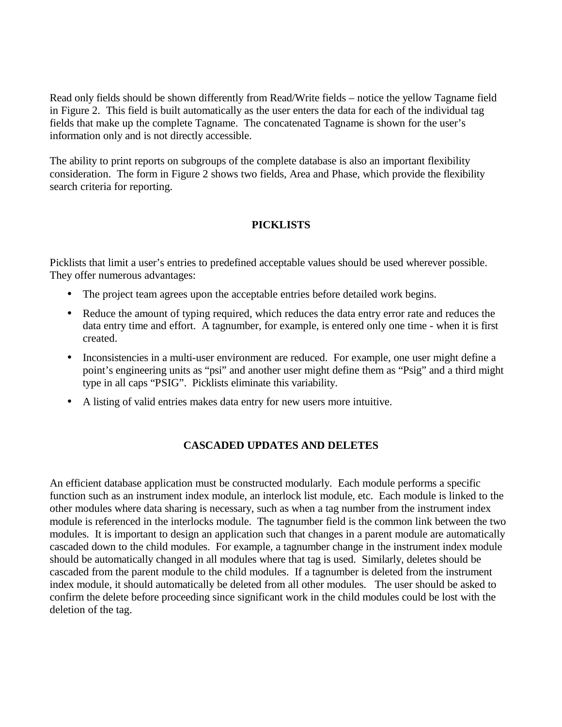Read only fields should be shown differently from Read/Write fields – notice the yellow Tagname field in Figure 2. This field is built automatically as the user enters the data for each of the individual tag fields that make up the complete Tagname. The concatenated Tagname is shown for the user's information only and is not directly accessible.

The ability to print reports on subgroups of the complete database is also an important flexibility consideration. The form in Figure 2 shows two fields, Area and Phase, which provide the flexibility search criteria for reporting.

#### **PICKLISTS**

Picklists that limit a user's entries to predefined acceptable values should be used wherever possible. They offer numerous advantages:

- The project team agrees upon the acceptable entries before detailed work begins.
- Reduce the amount of typing required, which reduces the data entry error rate and reduces the data entry time and effort. A tagnumber, for example, is entered only one time - when it is first created.
- Inconsistencies in a multi-user environment are reduced. For example, one user might define a point's engineering units as "psi" and another user might define them as "Psig" and a third might type in all caps "PSIG". Picklists eliminate this variability.
- A listing of valid entries makes data entry for new users more intuitive.

#### **CASCADED UPDATES AND DELETES**

An efficient database application must be constructed modularly. Each module performs a specific function such as an instrument index module, an interlock list module, etc. Each module is linked to the other modules where data sharing is necessary, such as when a tag number from the instrument index module is referenced in the interlocks module. The tagnumber field is the common link between the two modules. It is important to design an application such that changes in a parent module are automatically cascaded down to the child modules. For example, a tagnumber change in the instrument index module should be automatically changed in all modules where that tag is used. Similarly, deletes should be cascaded from the parent module to the child modules. If a tagnumber is deleted from the instrument index module, it should automatically be deleted from all other modules. The user should be asked to confirm the delete before proceeding since significant work in the child modules could be lost with the deletion of the tag.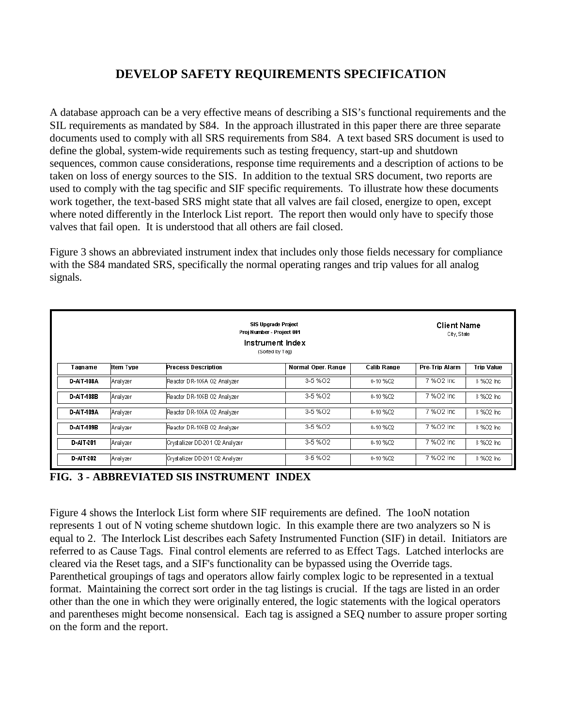## **DEVELOP SAFETY REQUIREMENTS SPECIFICATION**

A database approach can be a very effective means of describing a SIS's functional requirements and the SIL requirements as mandated by S84. In the approach illustrated in this paper there are three separate documents used to comply with all SRS requirements from S84. A text based SRS document is used to define the global, system-wide requirements such as testing frequency, start-up and shutdown sequences, common cause considerations, response time requirements and a description of actions to be taken on loss of energy sources to the SIS. In addition to the textual SRS document, two reports are used to comply with the tag specific and SIF specific requirements. To illustrate how these documents work together, the text-based SRS might state that all valves are fail closed, energize to open, except where noted differently in the Interlock List report. The report then would only have to specify those valves that fail open. It is understood that all others are fail closed.

Figure 3 shows an abbreviated instrument index that includes only those fields necessary for compliance with the S84 mandated SRS, specifically the normal operating ranges and trip values for all analog signals.

|            | <b>Client Name</b><br>City, State              |                                 |                    |                                      |            |            |  |
|------------|------------------------------------------------|---------------------------------|--------------------|--------------------------------------|------------|------------|--|
| Tagname    | <b>Item Type</b><br><b>Process Description</b> |                                 | Normal Oper, Range | <b>Calib Range</b><br>Pre-Trip Alarm |            | Trip Value |  |
| D-AIT-108A | Analyzer                                       | Reactor DR-106A O2 Analyzer     | 3-5 % 02           | 0-10 %02                             | 7 %O2 Inc  | 8 %02 Inc  |  |
| D-AIT-108B | Analyzer                                       | Reactor DR-106B O2 Analyzer     | 3-5 % 02           | 0-10 %02                             | 7 % 02 Inc | 8 %02 Inc  |  |
| D-AIT-109A | Analyzer                                       | Reactor DR-106A O2 Analyzer     | 3-5 % 02           | 0-10 %02                             | 7 % 02 Inc | 8 %02 Inc  |  |
| D-AIT-109B | Analyzer                                       | Reactor DR-106B O2 Analyzer     | 3-5 % 02           | 0-10 %02                             | 7 % 02 Inc | 8 %02 Inc  |  |
| D-AIT-201  | Analyzer                                       | Crystallizer DD-201 O2 Analyzer | 3-5 % 02           | 0-10 %02                             | 7 %O2 Inc  | 8 %02 Inc  |  |
| D-AIT-202  | Analyzer                                       | Crystallizer DD-201 O2 Analyzer | 3-5 % 02           | 0-10 %02                             | 7 % 02 Inc | 8 %02 Inc  |  |



Figure 4 shows the Interlock List form where SIF requirements are defined. The 1ooN notation represents 1 out of N voting scheme shutdown logic. In this example there are two analyzers so N is equal to 2. The Interlock List describes each Safety Instrumented Function (SIF) in detail. Initiators are referred to as Cause Tags. Final control elements are referred to as Effect Tags. Latched interlocks are cleared via the Reset tags, and a SIF's functionality can be bypassed using the Override tags. Parenthetical groupings of tags and operators allow fairly complex logic to be represented in a textual format. Maintaining the correct sort order in the tag listings is crucial. If the tags are listed in an order other than the one in which they were originally entered, the logic statements with the logical operators and parentheses might become nonsensical. Each tag is assigned a SEQ number to assure proper sorting on the form and the report.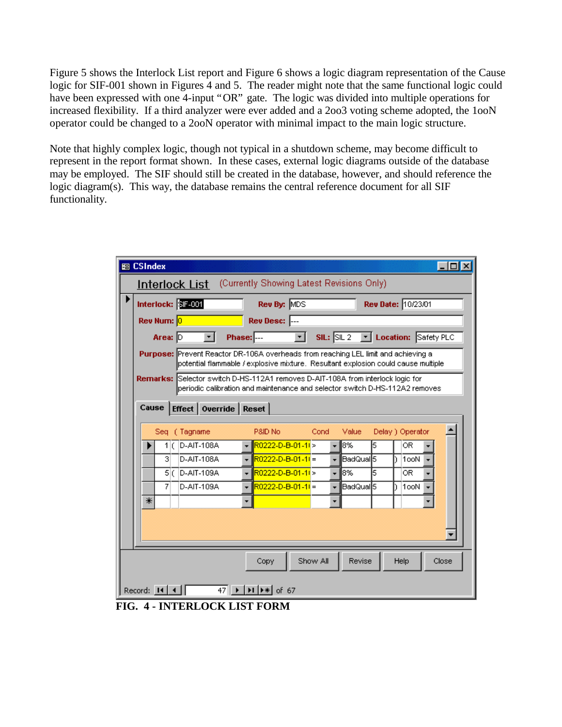Figure 5 shows the Interlock List report and Figure 6 shows a logic diagram representation of the Cause logic for SIF-001 shown in Figures 4 and 5. The reader might note that the same functional logic could have been expressed with one 4-input "OR" gate. The logic was divided into multiple operations for increased flexibility. If a third analyzer were ever added and a 2oo3 voting scheme adopted, the 1ooN operator could be changed to a 2ooN operator with minimal impact to the main logic structure.

Note that highly complex logic, though not typical in a shutdown scheme, may become difficult to represent in the report format shown. In these cases, external logic diagrams outside of the database may be employed. The SIF should still be created in the database, however, and should reference the logic diagram(s). This way, the database remains the central reference document for all SIF functionality.

| <b>EB CSIndex</b>                                                                                                                                                       | - 101 |  |  |  |  |  |  |
|-------------------------------------------------------------------------------------------------------------------------------------------------------------------------|-------|--|--|--|--|--|--|
| <b>Interlock List</b> (Currently Showing Latest Revisions Only)                                                                                                         |       |  |  |  |  |  |  |
| Interlock: SF-001<br>Rev By: MDS<br>Rev Date: 10/23/01                                                                                                                  |       |  |  |  |  |  |  |
| Rev Num: 0<br>Rev Desc: --                                                                                                                                              |       |  |  |  |  |  |  |
| $SL:$ SIL $2$<br>Area: D<br><b>Phase:</b> ---<br>V Location: Safety PLC<br>▾<br>▾╽                                                                                      |       |  |  |  |  |  |  |
| Purpose: Prevent Reactor DR-106A overheads from reaching LEL limit and achieving a<br>potential flammable / explosive mixture. Resultant explosion could cause multiple |       |  |  |  |  |  |  |
| Remarks: Selector switch D-HS-112A1 removes D-AIT-108A from interlock logic for<br>periodic calibration and maintenance and selector switch D-HS-112A2 removes          |       |  |  |  |  |  |  |
| Effect   Override   Reset<br>Cause                                                                                                                                      |       |  |  |  |  |  |  |
| Seq (Tagname<br>P&ID No<br>Delay ) Operator<br>Cond<br>Value                                                                                                            |       |  |  |  |  |  |  |
| 18%<br>R0222-D-B-01-11 ><br>5<br>D-AIT-108A<br>OR.<br>1 (<br>÷<br>٠<br>R0222-D-B-01-11 =<br>BadQual5<br>D-AIT-108A<br>1ooN<br>31                                        |       |  |  |  |  |  |  |
| R0222-D-B-01-11><br>l8%<br>5<br>D-AIT-109A<br>OR.<br>5 C                                                                                                                |       |  |  |  |  |  |  |
| lBadQual∣5.<br>D-AIT-109A<br>R0222-D-B-01-11 =<br>7<br>1ooN                                                                                                             |       |  |  |  |  |  |  |
| ⋇                                                                                                                                                                       |       |  |  |  |  |  |  |
|                                                                                                                                                                         |       |  |  |  |  |  |  |
|                                                                                                                                                                         |       |  |  |  |  |  |  |
| Show All<br>Revise<br>Help<br>Close<br>Copy                                                                                                                             |       |  |  |  |  |  |  |
| Record: $\boxed{14}$ $\boxed{4}$<br>47 ▶   DI   D*   of 67                                                                                                              |       |  |  |  |  |  |  |

**FIG. 4 - INTERLOCK LIST FORM**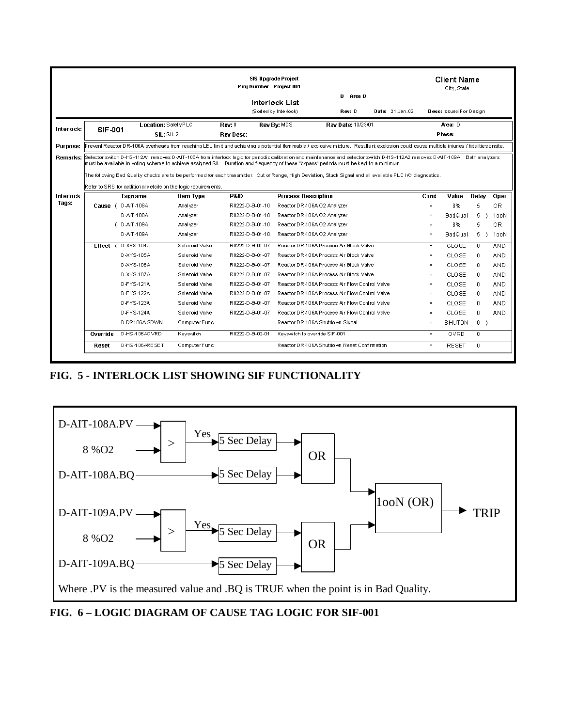|                                                                                                                    | <b>SIS Upgrade Project</b><br>Proj Number - Project 001                                                                                                                                   |                                                                                                                                                              |                  |                 |                                 | <b>Client Name</b><br>City, State              |  |          |              |              |                |
|--------------------------------------------------------------------------------------------------------------------|-------------------------------------------------------------------------------------------------------------------------------------------------------------------------------------------|--------------------------------------------------------------------------------------------------------------------------------------------------------------|------------------|-----------------|---------------------------------|------------------------------------------------|--|----------|--------------|--------------|----------------|
| D Area D<br>Interlock List<br>(Sorted by Interlock)<br>Rev: D<br>Date: 21-Jan-02<br><b>Desc:</b> Issued For Design |                                                                                                                                                                                           |                                                                                                                                                              |                  |                 |                                 |                                                |  |          |              |              |                |
| Interlock:                                                                                                         | SIF-001                                                                                                                                                                                   | Location: SafetyPLC                                                                                                                                          |                  | Rev: 0          | Rev By: MDS                     | Rev Date: 10/23/01                             |  |          | Area: D      |              |                |
|                                                                                                                    |                                                                                                                                                                                           | SIL: SL2                                                                                                                                                     |                  | Rev Desc: ---   |                                 |                                                |  |          | Phase:       |              |                |
| <b>Purpose:</b>                                                                                                    | Prevent Reactor DR-106A overheads from reaching LEL limit and achieving a potential flammable / explosive mixture. Resultant explosion could cause multiple injuries / fatalities onsite. |                                                                                                                                                              |                  |                 |                                 |                                                |  |          |              |              |                |
| Remarks:                                                                                                           | Selector switch D-HS-112A1 removes D-AIT-108A from interlock logic for periodic calibration and maintenance and selector switch D-HS-112A2 removes D-AIT-109A. Both analyzers             |                                                                                                                                                              |                  |                 |                                 |                                                |  |          |              |              |                |
|                                                                                                                    | must be available in voting scheme to achieve assigned SIL. Duration and frequency of these "bypass" periods must be kept to a minimum.                                                   |                                                                                                                                                              |                  |                 |                                 |                                                |  |          |              |              |                |
|                                                                                                                    |                                                                                                                                                                                           | The following Bad Quality checks are to be performed for each transmitter. Out of Range, High Deviation, Stuck Signal and all available PLC I/O diagnostics. |                  |                 |                                 |                                                |  |          |              |              |                |
|                                                                                                                    | Refer to SRS for additional details on the logic requirements.                                                                                                                            |                                                                                                                                                              |                  |                 |                                 |                                                |  |          |              |              |                |
| Interlock                                                                                                          |                                                                                                                                                                                           | Tagname                                                                                                                                                      | <b>Item Type</b> | P&ID            | <b>Process Description</b>      |                                                |  | Cond     | Value        | Delay        | Oper           |
| Tags:                                                                                                              |                                                                                                                                                                                           | Cause (D-AIT-108A                                                                                                                                            | Analyzer         | R0222-D-B-01-10 | Reactor DR-106A O2 Analyzer     |                                                |  | $\geq$   | 8%           | 5            | 0R             |
|                                                                                                                    |                                                                                                                                                                                           | D-AIT-108A                                                                                                                                                   | Analyzer         | R0222-D-B-01-10 | Reactor DR-106A O2 Analyzer     |                                                |  | $\equiv$ | BadQual      | 5.           | 100N           |
|                                                                                                                    |                                                                                                                                                                                           | (D-AIT-109A)                                                                                                                                                 | Analyzer         | R0222-D-B-01-10 | Reactor DR-106A O2 Analyzer     |                                                |  | $\geq$   | 8%           | 5.           | 0 <sub>R</sub> |
|                                                                                                                    |                                                                                                                                                                                           | D-AIT-109A                                                                                                                                                   | Analyzer         | R0222-D-B-01-10 | Reactor DR-106A O2 Analyzer     |                                                |  | $=$      | BadQual      | 5.<br>J.     | 1ooN           |
|                                                                                                                    |                                                                                                                                                                                           | Effect ( D-XYS-104A                                                                                                                                          | Solenoid Valve   | R0222-D-B-01-07 |                                 | Reactor DR-106A Process Air Block Valve        |  | $\equiv$ | CLOSE        | $\mathbf{0}$ | <b>AND</b>     |
|                                                                                                                    |                                                                                                                                                                                           | D-XYS-105A                                                                                                                                                   | Solenoid Valve   | R0222-D-B-01-07 |                                 | Reactor DR-106A Process Air Block Valve        |  | $\equiv$ | CLOSE        | $\Box$       | <b>AND</b>     |
|                                                                                                                    |                                                                                                                                                                                           | D-XYS-106A                                                                                                                                                   | Solenoid Valve   | R0222-D-B-01-07 |                                 | Reactor DR-106A Process Air Block Valve        |  | $=$      | CLOSE        | 0            | <b>AND</b>     |
|                                                                                                                    |                                                                                                                                                                                           | D-XYS-107A                                                                                                                                                   | Solenoid Valve   | R0222-D-B-01-07 |                                 | Reactor DR-106A Process Air Block Valve        |  | $\equiv$ | CLOSE        | $\mathsf{U}$ | <b>AND</b>     |
|                                                                                                                    |                                                                                                                                                                                           | D-FYS-121A                                                                                                                                                   | Solenoid Valve   | R0222-D-B-01-07 |                                 | Reactor DR-106A Process Air Flow Control Valve |  | $=$      | CLOSE        | $\Box$       | <b>AND</b>     |
|                                                                                                                    |                                                                                                                                                                                           | D-FYS-122A                                                                                                                                                   | Solenoid Valve   | R0222-D-B-01-07 |                                 | Reactor DR-106A Process Air Flow Control Valve |  | $=$      | CLOSE        | 0.           | <b>AND</b>     |
|                                                                                                                    |                                                                                                                                                                                           | D-FYS-123A                                                                                                                                                   | Solenoid Valve   | R0222-D-B-01-07 |                                 | Reactor DR-106A Process Air Flow Control Valve |  | $=$      | CLOSE        | 0            | <b>AND</b>     |
|                                                                                                                    |                                                                                                                                                                                           | D-FYS-124A                                                                                                                                                   | Solenoid Valve   | R0222-D-B-01-07 |                                 | Reactor DR-106A Process Air Flow Control Valve |  | $\equiv$ | CLOSE        | 0.           | <b>AND</b>     |
|                                                                                                                    |                                                                                                                                                                                           | D-DR106A-SDWN                                                                                                                                                | Computer Func    |                 | Reactor DR-106A Shutdown Signal |                                                |  | $=$      | SHUTDN       | $0$ )        |                |
|                                                                                                                    | Override                                                                                                                                                                                  | D-HS-106AOVRD                                                                                                                                                | Keyswitch        | R0222-D-B-02-01 | Keyswitch to override SIF-001   |                                                |  | $=$      | <b>OVRD</b>  | $\Omega$     |                |
|                                                                                                                    | Reset                                                                                                                                                                                     | D-HS-106ARESET                                                                                                                                               | Computer Func    |                 |                                 | Reactor DR-106A Shutdown Reset Confirmation    |  | $\equiv$ | <b>RESET</b> | 0            |                |
|                                                                                                                    |                                                                                                                                                                                           |                                                                                                                                                              |                  |                 |                                 |                                                |  |          |              |              |                |

**FIG. 5 - INTERLOCK LIST SHOWING SIF FUNCTIONALITY**



**FIG. 6 – LOGIC DIAGRAM OF CAUSE TAG LOGIC FOR SIF-001**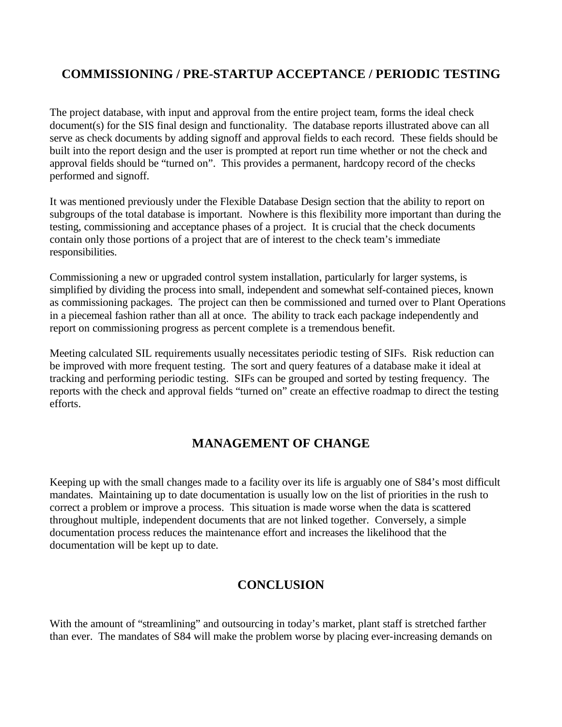# **COMMISSIONING / PRE-STARTUP ACCEPTANCE / PERIODIC TESTING**

The project database, with input and approval from the entire project team, forms the ideal check document(s) for the SIS final design and functionality. The database reports illustrated above can all serve as check documents by adding signoff and approval fields to each record. These fields should be built into the report design and the user is prompted at report run time whether or not the check and approval fields should be "turned on". This provides a permanent, hardcopy record of the checks performed and signoff.

It was mentioned previously under the Flexible Database Design section that the ability to report on subgroups of the total database is important. Nowhere is this flexibility more important than during the testing, commissioning and acceptance phases of a project. It is crucial that the check documents contain only those portions of a project that are of interest to the check team's immediate responsibilities.

Commissioning a new or upgraded control system installation, particularly for larger systems, is simplified by dividing the process into small, independent and somewhat self-contained pieces, known as commissioning packages. The project can then be commissioned and turned over to Plant Operations in a piecemeal fashion rather than all at once. The ability to track each package independently and report on commissioning progress as percent complete is a tremendous benefit.

Meeting calculated SIL requirements usually necessitates periodic testing of SIFs. Risk reduction can be improved with more frequent testing. The sort and query features of a database make it ideal at tracking and performing periodic testing. SIFs can be grouped and sorted by testing frequency. The reports with the check and approval fields "turned on" create an effective roadmap to direct the testing efforts.

### **MANAGEMENT OF CHANGE**

Keeping up with the small changes made to a facility over its life is arguably one of S84's most difficult mandates. Maintaining up to date documentation is usually low on the list of priorities in the rush to correct a problem or improve a process. This situation is made worse when the data is scattered throughout multiple, independent documents that are not linked together. Conversely, a simple documentation process reduces the maintenance effort and increases the likelihood that the documentation will be kept up to date.

### **CONCLUSION**

With the amount of "streamlining" and outsourcing in today's market, plant staff is stretched farther than ever. The mandates of S84 will make the problem worse by placing ever-increasing demands on